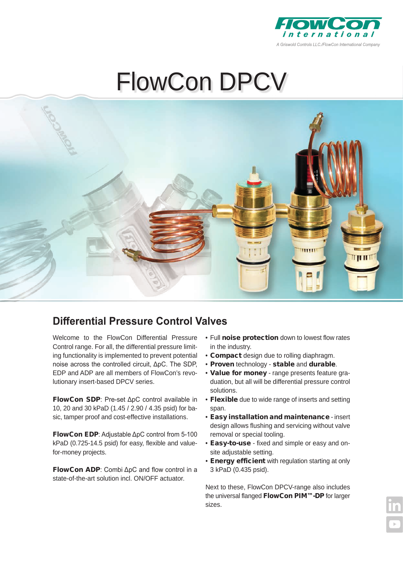

# FlowCon DPCV



## **Differential Pressure Control Valves**

Welcome to the FlowCon Differential Pressure Control range. For all, the differential pressure limiting functionality is implemented to prevent potential noise across the controlled circuit, ΔpC. The SDP, EDP and ADP are all members of FlowCon's revolutionary insert-based DPCV series.

FlowCon SDP: Pre-set ΔpC control available in 10, 20 and 30 kPaD (1.45 / 2.90 / 4.35 psid) for basic, tamper proof and cost-effective installations.

FlowCon EDP: Adjustable ΔpC control from 5-100 kPaD (0.725-14.5 psid) for easy, flexible and valuefor-money projects.

FlowCon ADP: Combi ΔpC and flow control in a state-of-the-art solution incl. ON/OFF actuator.

- Full noise protection down to lowest flow rates in the industry.
- Compact design due to rolling diaphragm.
- Proven technology stable and durable.
- Value for money range presents feature graduation, but all will be differential pressure control solutions.
- Flexible due to wide range of inserts and setting span.
- Easy installation and maintenance insert design allows flushing and servicing without valve removal or special tooling.
- Easy-to-use fixed and simple or easy and onsite adjustable setting.
- Energy efficient with regulation starting at only 3 kPaD (0.435 psid).

Next to these, FlowCon DPCV-range also includes the universal flanged FlowCon PIM™-DP for larger sizes.